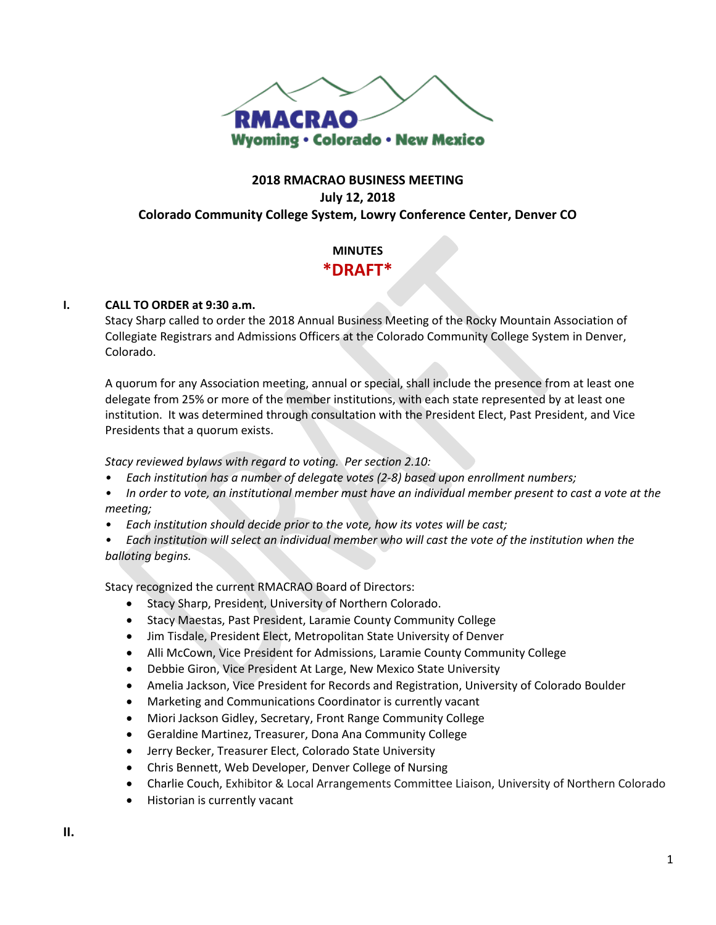

# **2018 RMACRAO BUSINESS MEETING July 12, 2018 Colorado Community College System, Lowry Conference Center, Denver CO**

# **MINUTES \*DRAFT\***

#### **I. CALL TO ORDER at 9:30 a.m.**

Stacy Sharp called to order the 2018 Annual Business Meeting of the Rocky Mountain Association of Collegiate Registrars and Admissions Officers at the Colorado Community College System in Denver, Colorado.

A quorum for any Association meeting, annual or special, shall include the presence from at least one delegate from 25% or more of the member institutions, with each state represented by at least one institution. It was determined through consultation with the President Elect, Past President, and Vice Presidents that a quorum exists.

*Stacy reviewed bylaws with regard to voting. Per section 2.10:*

- *• Each institution has a number of delegate votes (2-8) based upon enrollment numbers;*
- *• In order to vote, an institutional member must have an individual member present to cast a vote at the meeting;*
- *• Each institution should decide prior to the vote, how its votes will be cast;*
- *• Each institution will select an individual member who will cast the vote of the institution when the balloting begins.*

Stacy recognized the current RMACRAO Board of Directors:

- Stacy Sharp, President, University of Northern Colorado.
- Stacy Maestas, Past President, Laramie County Community College
- Jim Tisdale, President Elect, Metropolitan State University of Denver
- Alli McCown, Vice President for Admissions, Laramie County Community College
- Debbie Giron, Vice President At Large, New Mexico State University
- Amelia Jackson, Vice President for Records and Registration, University of Colorado Boulder
- Marketing and Communications Coordinator is currently vacant
- Miori Jackson Gidley, Secretary, Front Range Community College
- Geraldine Martinez, Treasurer, Dona Ana Community College
- Jerry Becker, Treasurer Elect, Colorado State University
- Chris Bennett, Web Developer, Denver College of Nursing
- Charlie Couch, Exhibitor & Local Arrangements Committee Liaison, University of Northern Colorado
- Historian is currently vacant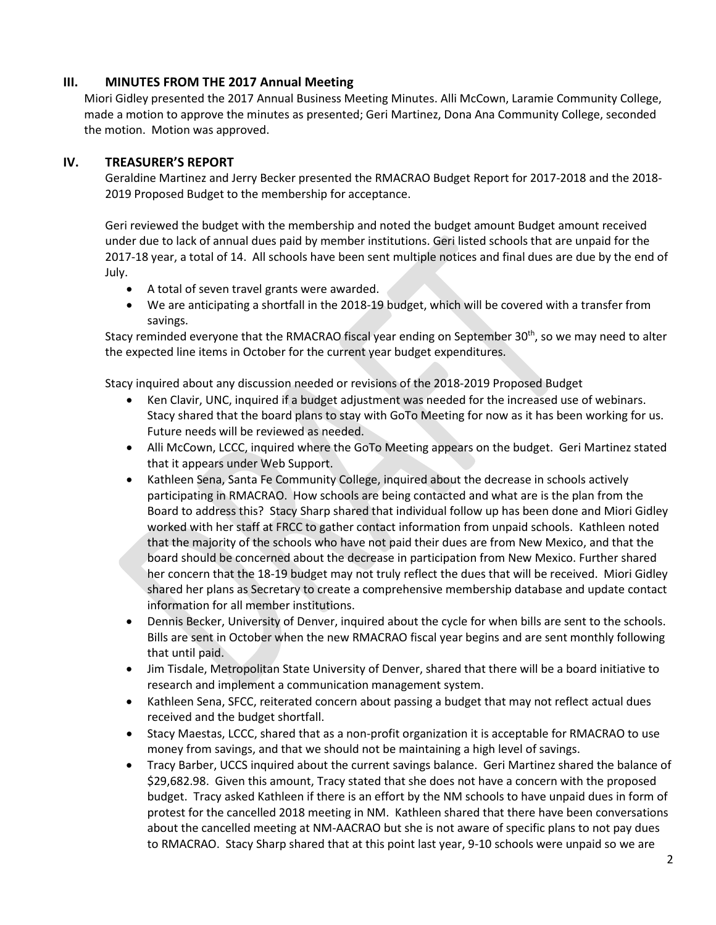# **III. MINUTES FROM THE 2017 Annual Meeting**

Miori Gidley presented the 2017 Annual Business Meeting Minutes. Alli McCown, Laramie Community College, made a motion to approve the minutes as presented; Geri Martinez, Dona Ana Community College, seconded the motion. Motion was approved.

### **IV. TREASURER'S REPORT**

Geraldine Martinez and Jerry Becker presented the RMACRAO Budget Report for 2017-2018 and the 2018- 2019 Proposed Budget to the membership for acceptance.

Geri reviewed the budget with the membership and noted the budget amount Budget amount received under due to lack of annual dues paid by member institutions. Geri listed schools that are unpaid for the 2017-18 year, a total of 14. All schools have been sent multiple notices and final dues are due by the end of July.

- A total of seven travel grants were awarded.
- We are anticipating a shortfall in the 2018-19 budget, which will be covered with a transfer from savings.

Stacy reminded everyone that the RMACRAO fiscal year ending on September 30<sup>th</sup>, so we may need to alter the expected line items in October for the current year budget expenditures.

Stacy inquired about any discussion needed or revisions of the 2018-2019 Proposed Budget

- Ken Clavir, UNC, inquired if a budget adjustment was needed for the increased use of webinars. Stacy shared that the board plans to stay with GoTo Meeting for now as it has been working for us. Future needs will be reviewed as needed.
- Alli McCown, LCCC, inquired where the GoTo Meeting appears on the budget. Geri Martinez stated that it appears under Web Support.
- Kathleen Sena, Santa Fe Community College, inquired about the decrease in schools actively participating in RMACRAO. How schools are being contacted and what are is the plan from the Board to address this? Stacy Sharp shared that individual follow up has been done and Miori Gidley worked with her staff at FRCC to gather contact information from unpaid schools. Kathleen noted that the majority of the schools who have not paid their dues are from New Mexico, and that the board should be concerned about the decrease in participation from New Mexico. Further shared her concern that the 18-19 budget may not truly reflect the dues that will be received. Miori Gidley shared her plans as Secretary to create a comprehensive membership database and update contact information for all member institutions.
- Dennis Becker, University of Denver, inquired about the cycle for when bills are sent to the schools. Bills are sent in October when the new RMACRAO fiscal year begins and are sent monthly following that until paid.
- Jim Tisdale, Metropolitan State University of Denver, shared that there will be a board initiative to research and implement a communication management system.
- Kathleen Sena, SFCC, reiterated concern about passing a budget that may not reflect actual dues received and the budget shortfall.
- Stacy Maestas, LCCC, shared that as a non-profit organization it is acceptable for RMACRAO to use money from savings, and that we should not be maintaining a high level of savings.
- Tracy Barber, UCCS inquired about the current savings balance. Geri Martinez shared the balance of \$29,682.98. Given this amount, Tracy stated that she does not have a concern with the proposed budget. Tracy asked Kathleen if there is an effort by the NM schools to have unpaid dues in form of protest for the cancelled 2018 meeting in NM. Kathleen shared that there have been conversations about the cancelled meeting at NM-AACRAO but she is not aware of specific plans to not pay dues to RMACRAO. Stacy Sharp shared that at this point last year, 9-10 schools were unpaid so we are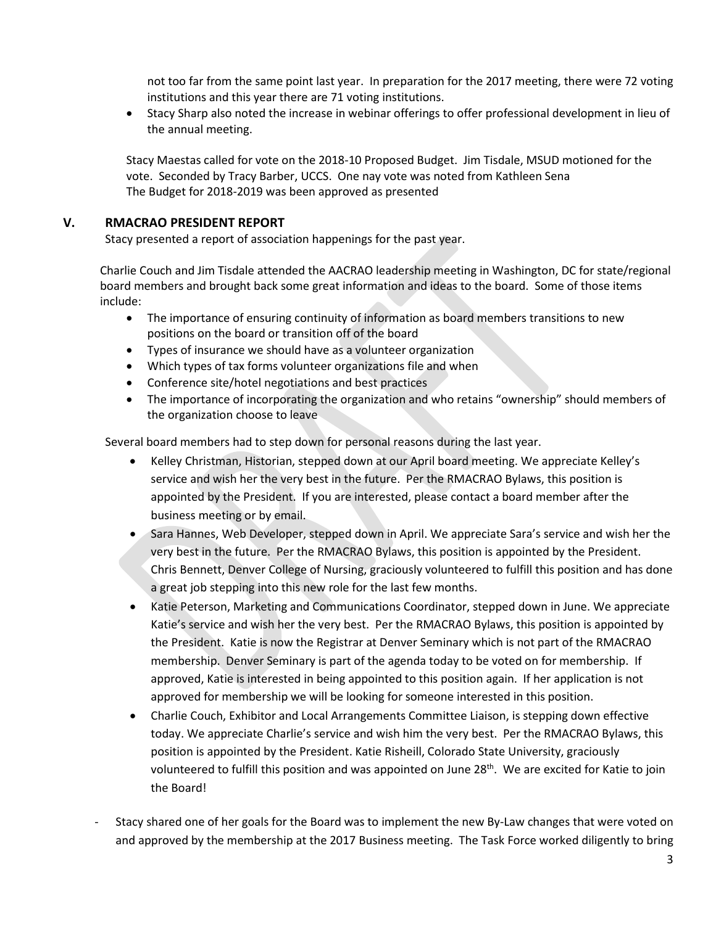not too far from the same point last year. In preparation for the 2017 meeting, there were 72 voting institutions and this year there are 71 voting institutions.

• Stacy Sharp also noted the increase in webinar offerings to offer professional development in lieu of the annual meeting.

Stacy Maestas called for vote on the 2018-10 Proposed Budget. Jim Tisdale, MSUD motioned for the vote. Seconded by Tracy Barber, UCCS. One nay vote was noted from Kathleen Sena The Budget for 2018-2019 was been approved as presented

# **V. RMACRAO PRESIDENT REPORT**

Stacy presented a report of association happenings for the past year.

Charlie Couch and Jim Tisdale attended the AACRAO leadership meeting in Washington, DC for state/regional board members and brought back some great information and ideas to the board. Some of those items include:

- The importance of ensuring continuity of information as board members transitions to new positions on the board or transition off of the board
- Types of insurance we should have as a volunteer organization
- Which types of tax forms volunteer organizations file and when
- Conference site/hotel negotiations and best practices
- The importance of incorporating the organization and who retains "ownership" should members of the organization choose to leave

Several board members had to step down for personal reasons during the last year.

- Kelley Christman, Historian, stepped down at our April board meeting. We appreciate Kelley's service and wish her the very best in the future. Per the RMACRAO Bylaws, this position is appointed by the President. If you are interested, please contact a board member after the business meeting or by email.
- Sara Hannes, Web Developer, stepped down in April. We appreciate Sara's service and wish her the very best in the future. Per the RMACRAO Bylaws, this position is appointed by the President. Chris Bennett, Denver College of Nursing, graciously volunteered to fulfill this position and has done a great job stepping into this new role for the last few months.
- Katie Peterson, Marketing and Communications Coordinator, stepped down in June. We appreciate Katie's service and wish her the very best. Per the RMACRAO Bylaws, this position is appointed by the President. Katie is now the Registrar at Denver Seminary which is not part of the RMACRAO membership. Denver Seminary is part of the agenda today to be voted on for membership. If approved, Katie is interested in being appointed to this position again. If her application is not approved for membership we will be looking for someone interested in this position.
- Charlie Couch, Exhibitor and Local Arrangements Committee Liaison, is stepping down effective today. We appreciate Charlie's service and wish him the very best. Per the RMACRAO Bylaws, this position is appointed by the President. Katie Risheill, Colorado State University, graciously volunteered to fulfill this position and was appointed on June 28<sup>th</sup>. We are excited for Katie to join the Board!
- Stacy shared one of her goals for the Board was to implement the new By-Law changes that were voted on and approved by the membership at the 2017 Business meeting. The Task Force worked diligently to bring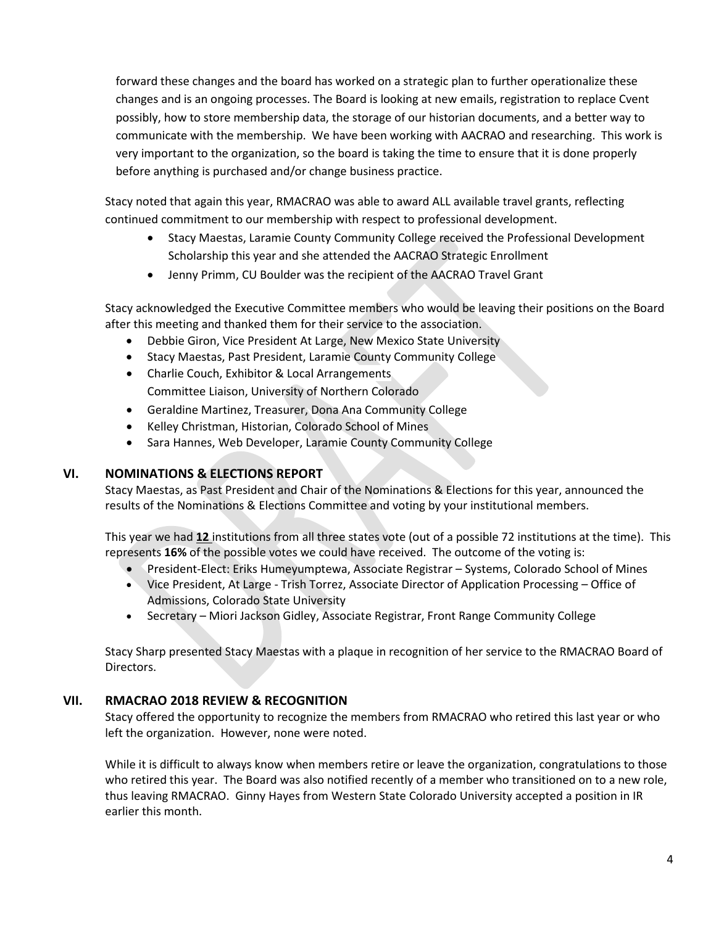forward these changes and the board has worked on a strategic plan to further operationalize these changes and is an ongoing processes. The Board is looking at new emails, registration to replace Cvent possibly, how to store membership data, the storage of our historian documents, and a better way to communicate with the membership. We have been working with AACRAO and researching. This work is very important to the organization, so the board is taking the time to ensure that it is done properly before anything is purchased and/or change business practice.

Stacy noted that again this year, RMACRAO was able to award ALL available travel grants, reflecting continued commitment to our membership with respect to professional development.

- Stacy Maestas, Laramie County Community College received the Professional Development Scholarship this year and she attended the AACRAO Strategic Enrollment
- Jenny Primm, CU Boulder was the recipient of the AACRAO Travel Grant

Stacy acknowledged the Executive Committee members who would be leaving their positions on the Board after this meeting and thanked them for their service to the association.

- Debbie Giron, Vice President At Large, New Mexico State University
- Stacy Maestas, Past President, Laramie County Community College
- Charlie Couch, Exhibitor & Local Arrangements Committee Liaison, University of Northern Colorado
- Geraldine Martinez, Treasurer, Dona Ana Community College
- Kelley Christman, Historian, Colorado School of Mines
- Sara Hannes, Web Developer, Laramie County Community College

#### **VI. NOMINATIONS & ELECTIONS REPORT**

Stacy Maestas, as Past President and Chair of the Nominations & Elections for this year, announced the results of the Nominations & Elections Committee and voting by your institutional members.

This year we had **12** institutions from all three states vote (out of a possible 72 institutions at the time). This represents **16%** of the possible votes we could have received. The outcome of the voting is:

- President-Elect: Eriks Humeyumptewa, Associate Registrar Systems, Colorado School of Mines
- Vice President, At Large Trish Torrez, Associate Director of Application Processing Office of Admissions, Colorado State University
- Secretary Miori Jackson Gidley, Associate Registrar, Front Range Community College

Stacy Sharp presented Stacy Maestas with a plaque in recognition of her service to the RMACRAO Board of Directors.

# **VII. RMACRAO 2018 REVIEW & RECOGNITION**

Stacy offered the opportunity to recognize the members from RMACRAO who retired this last year or who left the organization. However, none were noted.

While it is difficult to always know when members retire or leave the organization, congratulations to those who retired this year. The Board was also notified recently of a member who transitioned on to a new role, thus leaving RMACRAO. Ginny Hayes from Western State Colorado University accepted a position in IR earlier this month.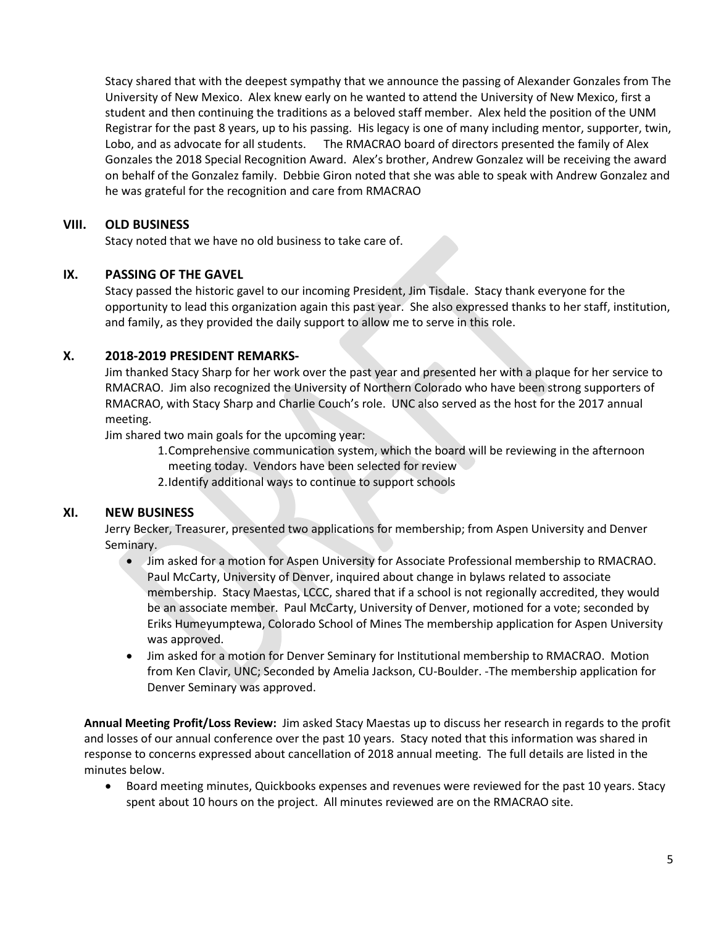Stacy shared that with the deepest sympathy that we announce the passing of Alexander Gonzales from The University of New Mexico. Alex knew early on he wanted to attend the University of New Mexico, first a student and then continuing the traditions as a beloved staff member. Alex held the position of the UNM Registrar for the past 8 years, up to his passing. His legacy is one of many including mentor, supporter, twin, Lobo, and as advocate for all students. The RMACRAO board of directors presented the family of Alex Gonzales the 2018 Special Recognition Award. Alex's brother, Andrew Gonzalez will be receiving the award on behalf of the Gonzalez family. Debbie Giron noted that she was able to speak with Andrew Gonzalez and he was grateful for the recognition and care from RMACRAO

### **VIII. OLD BUSINESS**

Stacy noted that we have no old business to take care of.

#### **IX. PASSING OF THE GAVEL**

Stacy passed the historic gavel to our incoming President, Jim Tisdale. Stacy thank everyone for the opportunity to lead this organization again this past year. She also expressed thanks to her staff, institution, and family, as they provided the daily support to allow me to serve in this role.

# **X. 2018-2019 PRESIDENT REMARKS-**

Jim thanked Stacy Sharp for her work over the past year and presented her with a plaque for her service to RMACRAO. Jim also recognized the University of Northern Colorado who have been strong supporters of RMACRAO, with Stacy Sharp and Charlie Couch's role. UNC also served as the host for the 2017 annual meeting.

Jim shared two main goals for the upcoming year:

1.Comprehensive communication system, which the board will be reviewing in the afternoon meeting today. Vendors have been selected for review

2.Identify additional ways to continue to support schools

# **XI. NEW BUSINESS**

Jerry Becker, Treasurer, presented two applications for membership; from Aspen University and Denver Seminary.

- Jim asked for a motion for Aspen University for Associate Professional membership to RMACRAO. Paul McCarty, University of Denver, inquired about change in bylaws related to associate membership. Stacy Maestas, LCCC, shared that if a school is not regionally accredited, they would be an associate member. Paul McCarty, University of Denver, motioned for a vote; seconded by Eriks Humeyumptewa, Colorado School of Mines The membership application for Aspen University was approved.
- Jim asked for a motion for Denver Seminary for Institutional membership to RMACRAO. Motion from Ken Clavir, UNC; Seconded by Amelia Jackson, CU-Boulder. -The membership application for Denver Seminary was approved.

**Annual Meeting Profit/Loss Review:** Jim asked Stacy Maestas up to discuss her research in regards to the profit and losses of our annual conference over the past 10 years. Stacy noted that this information was shared in response to concerns expressed about cancellation of 2018 annual meeting. The full details are listed in the minutes below.

• Board meeting minutes, Quickbooks expenses and revenues were reviewed for the past 10 years. Stacy spent about 10 hours on the project. All minutes reviewed are on the RMACRAO site.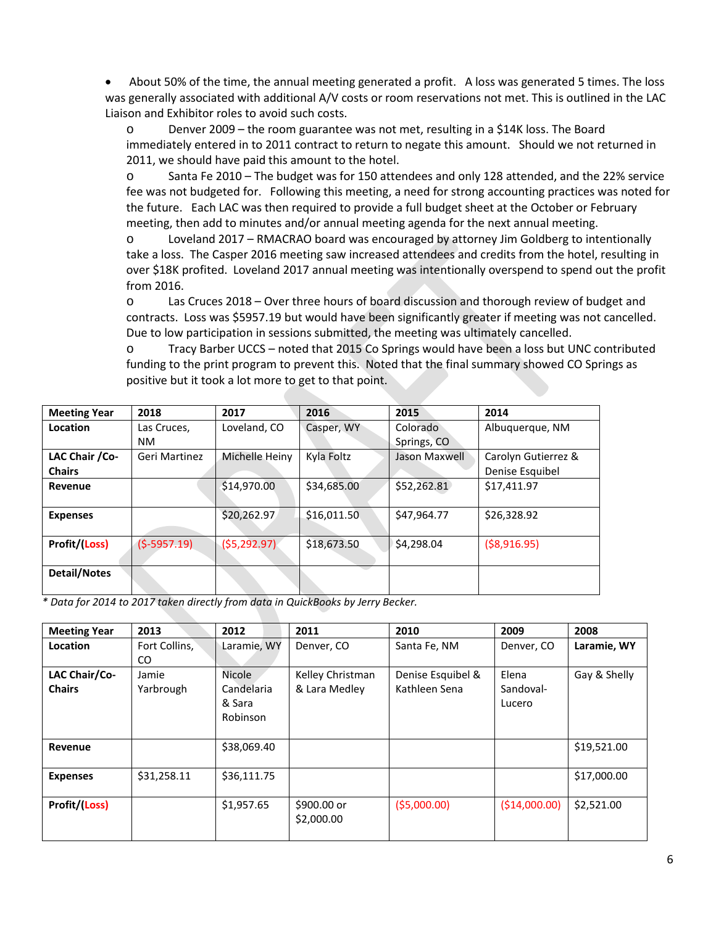• About 50% of the time, the annual meeting generated a profit. A loss was generated 5 times. The loss was generally associated with additional A/V costs or room reservations not met. This is outlined in the LAC Liaison and Exhibitor roles to avoid such costs.

o Denver 2009 – the room guarantee was not met, resulting in a \$14K loss. The Board immediately entered in to 2011 contract to return to negate this amount. Should we not returned in 2011, we should have paid this amount to the hotel.

o Santa Fe 2010 – The budget was for 150 attendees and only 128 attended, and the 22% service fee was not budgeted for. Following this meeting, a need for strong accounting practices was noted for the future. Each LAC was then required to provide a full budget sheet at the October or February meeting, then add to minutes and/or annual meeting agenda for the next annual meeting.

o Loveland 2017 – RMACRAO board was encouraged by attorney Jim Goldberg to intentionally take a loss. The Casper 2016 meeting saw increased attendees and credits from the hotel, resulting in over \$18K profited. Loveland 2017 annual meeting was intentionally overspend to spend out the profit from 2016.

o Las Cruces 2018 – Over three hours of board discussion and thorough review of budget and contracts. Loss was \$5957.19 but would have been significantly greater if meeting was not cancelled. Due to low participation in sessions submitted, the meeting was ultimately cancelled.

o Tracy Barber UCCS – noted that 2015 Co Springs would have been a loss but UNC contributed funding to the print program to prevent this. Noted that the final summary showed CO Springs as positive but it took a lot more to get to that point.

| <b>Meeting Year</b> | 2018          | 2017           | 2016        | 2015          | 2014                |
|---------------------|---------------|----------------|-------------|---------------|---------------------|
| Location            | Las Cruces,   | Loveland, CO   | Casper, WY  | Colorado      | Albuquerque, NM     |
|                     | <b>NM</b>     |                |             | Springs, CO   |                     |
| LAC Chair / Co-     | Geri Martinez | Michelle Heiny | Kyla Foltz  | Jason Maxwell | Carolyn Gutierrez & |
| <b>Chairs</b>       |               |                |             |               | Denise Esquibel     |
| Revenue             |               | \$14,970.00    | \$34,685.00 | \$52,262.81   | \$17,411.97         |
|                     |               |                |             |               |                     |
| <b>Expenses</b>     |               | \$20,262.97    | \$16,011.50 | \$47,964.77   | \$26,328.92         |
|                     |               |                |             |               |                     |
| Profit/(Loss)       | $(5-5957.19)$ | (55, 292.97)   | \$18,673.50 | \$4,298.04    | ( \$8,916.95)       |
|                     |               |                |             |               |                     |
| Detail/Notes        |               |                |             |               |                     |
|                     |               |                |             |               |                     |

*\* Data for 2014 to 2017 taken directly from data in QuickBooks by Jerry Becker.* 

| <b>Meeting Year</b> | 2013          | 2012        | 2011                      | 2010              | 2009          | 2008         |
|---------------------|---------------|-------------|---------------------------|-------------------|---------------|--------------|
| Location            | Fort Collins, | Laramie, WY | Denver, CO                | Santa Fe, NM      | Denver, CO    | Laramie, WY  |
|                     | CO.           |             |                           |                   |               |              |
| LAC Chair/Co-       | Jamie         | Nicole      | Kelley Christman          | Denise Esquibel & | Elena         | Gay & Shelly |
| <b>Chairs</b>       | Yarbrough     | Candelaria  | & Lara Medley             | Kathleen Sena     | Sandoval-     |              |
|                     |               | & Sara      |                           |                   | Lucero        |              |
|                     |               | Robinson    |                           |                   |               |              |
|                     |               |             |                           |                   |               |              |
| Revenue             |               | \$38,069.40 |                           |                   |               | \$19,521.00  |
| <b>Expenses</b>     | \$31,258.11   | \$36,111.75 |                           |                   |               | \$17,000.00  |
|                     |               |             |                           |                   |               |              |
| Profit/(Loss)       |               | \$1,957.65  | \$900.00 or<br>\$2,000.00 | (55,000.00)       | (\$14,000.00) | \$2,521.00   |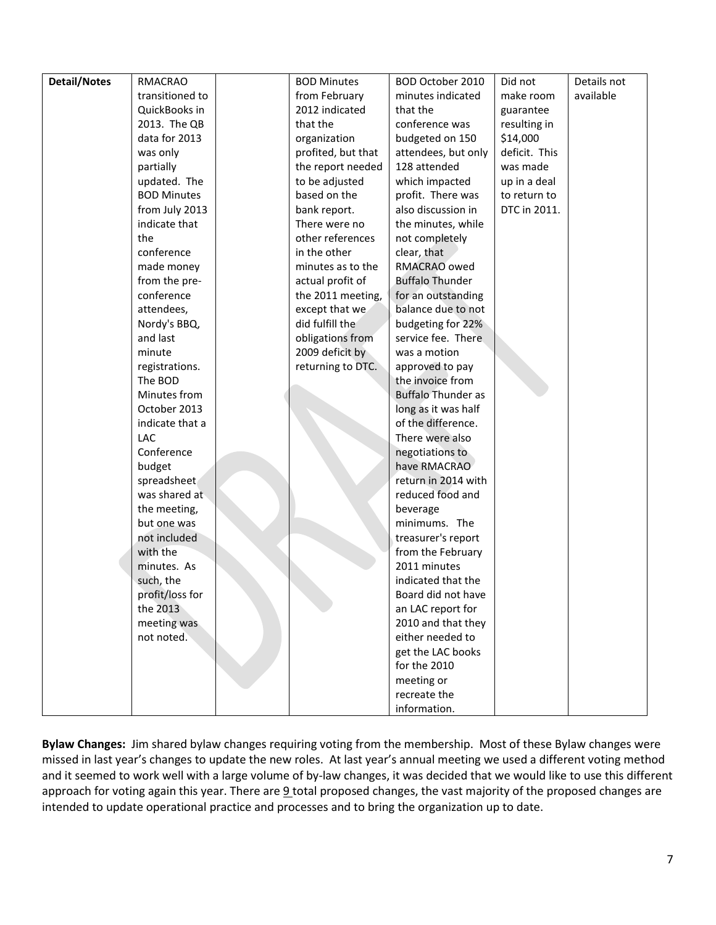| <b>Detail/Notes</b> | <b>RMACRAO</b>     | <b>BOD Minutes</b> | BOD October 2010          | Did not       | Details not |
|---------------------|--------------------|--------------------|---------------------------|---------------|-------------|
|                     | transitioned to    | from February      | minutes indicated         | make room     | available   |
|                     | QuickBooks in      | 2012 indicated     | that the                  | guarantee     |             |
|                     | 2013. The QB       | that the           | conference was            | resulting in  |             |
|                     | data for 2013      | organization       | budgeted on 150           | \$14,000      |             |
|                     | was only           | profited, but that | attendees, but only       | deficit. This |             |
|                     | partially          | the report needed  | 128 attended              | was made      |             |
|                     | updated. The       | to be adjusted     | which impacted            | up in a deal  |             |
|                     | <b>BOD Minutes</b> | based on the       | profit. There was         | to return to  |             |
|                     | from July 2013     | bank report.       | also discussion in        | DTC in 2011.  |             |
|                     | indicate that      | There were no      | the minutes, while        |               |             |
|                     | the                | other references   | not completely            |               |             |
|                     | conference         | in the other       | clear, that               |               |             |
|                     | made money         | minutes as to the  | RMACRAO owed              |               |             |
|                     | from the pre-      | actual profit of   | <b>Buffalo Thunder</b>    |               |             |
|                     | conference         | the 2011 meeting,  | for an outstanding        |               |             |
|                     | attendees,         | except that we     | balance due to not        |               |             |
|                     | Nordy's BBQ,       | did fulfill the    | budgeting for 22%         |               |             |
|                     | and last           | obligations from   | service fee. There        |               |             |
|                     | minute             | 2009 deficit by    | was a motion              |               |             |
|                     | registrations.     | returning to DTC.  | approved to pay           |               |             |
|                     | The BOD            |                    | the invoice from          |               |             |
|                     | Minutes from       |                    | <b>Buffalo Thunder as</b> |               |             |
|                     | October 2013       |                    | long as it was half       |               |             |
|                     | indicate that a    |                    | of the difference.        |               |             |
|                     | LAC                |                    | There were also           |               |             |
|                     | Conference         |                    | negotiations to           |               |             |
|                     | budget             |                    | have RMACRAO              |               |             |
|                     | spreadsheet        |                    | return in 2014 with       |               |             |
|                     | was shared at      |                    | reduced food and          |               |             |
|                     | the meeting,       |                    | beverage                  |               |             |
|                     | but one was        |                    | minimums. The             |               |             |
|                     | not included       |                    | treasurer's report        |               |             |
|                     | with the           |                    | from the February         |               |             |
|                     | minutes. As        |                    | 2011 minutes              |               |             |
|                     | such, the          |                    | indicated that the        |               |             |
|                     | profit/loss for    |                    | Board did not have        |               |             |
|                     | the 2013           |                    | an LAC report for         |               |             |
|                     | meeting was        |                    | 2010 and that they        |               |             |
|                     | not noted.         |                    | either needed to          |               |             |
|                     |                    |                    | get the LAC books         |               |             |
|                     |                    |                    | for the 2010              |               |             |
|                     |                    |                    | meeting or                |               |             |
|                     |                    |                    | recreate the              |               |             |
|                     |                    |                    | information.              |               |             |

**Bylaw Changes:** Jim shared bylaw changes requiring voting from the membership. Most of these Bylaw changes were missed in last year's changes to update the new roles. At last year's annual meeting we used a different voting method and it seemed to work well with a large volume of by-law changes, it was decided that we would like to use this different approach for voting again this year. There are  $9$  total proposed changes, the vast majority of the proposed changes are intended to update operational practice and processes and to bring the organization up to date.